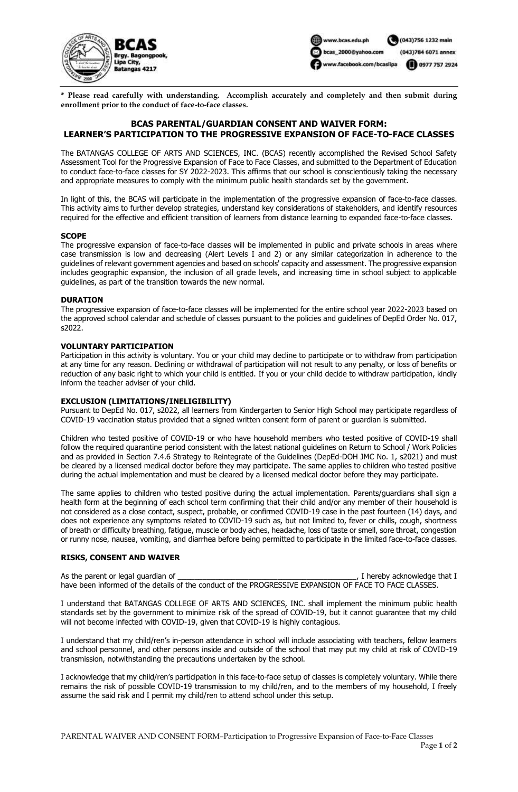



**\* Please read carefully with understanding. Accomplish accurately and completely and then submit during enrollment prior to the conduct of face-to-face classes.**

# **BCAS PARENTAL/GUARDIAN CONSENT AND WAIVER FORM: LEARNER'S PARTICIPATION TO THE PROGRESSIVE EXPANSION OF FACE-TO-FACE CLASSES**

The BATANGAS COLLEGE OF ARTS AND SCIENCES, INC. (BCAS) recently accomplished the Revised School Safety Assessment Tool for the Progressive Expansion of Face to Face Classes, and submitted to the Department of Education to conduct face-to-face classes for SY 2022-2023. This affirms that our school is conscientiously taking the necessary and appropriate measures to comply with the minimum public health standards set by the government.

In light of this, the BCAS will participate in the implementation of the progressive expansion of face-to-face classes. This activity aims to further develop strategies, understand key considerations of stakeholders, and identify resources required for the effective and efficient transition of learners from distance learning to expanded face-to-face classes.

#### **SCOPE**

The progressive expansion of face-to-face classes will be implemented in public and private schools in areas where case transmission is low and decreasing (Alert Levels I and 2) or any similar categorization in adherence to the guidelines of relevant government agencies and based on schools' capacity and assessment. The progressive expansion includes geographic expansion, the inclusion of all grade levels, and increasing time in school subject to applicable guidelines, as part of the transition towards the new normal.

#### **DURATION**

The progressive expansion of face-to-face classes will be implemented for the entire school year 2022-2023 based on the approved school calendar and schedule of classes pursuant to the policies and guidelines of DepEd Order No. 017, s2022.

#### **VOLUNTARY PARTICIPATION**

Participation in this activity is voluntary. You or your child may decline to participate or to withdraw from participation at any time for any reason. Declining or withdrawal of participation will not result to any penalty, or loss of benefits or reduction of any basic right to which your child is entitled. If you or your child decide to withdraw participation, kindly inform the teacher adviser of your child.

### **EXCLUSION (LIMITATIONS/INELIGIBILITY)**

Pursuant to DepEd No. 017, s2022, all learners from Kindergarten to Senior High School may participate regardless of COVID-19 vaccination status provided that a signed written consent form of parent or guardian is submitted.

Children who tested positive of COVID-19 or who have household members who tested positive of COVID-19 shall follow the required quarantine period consistent with the latest national guidelines on Return to School / Work Policies and as provided in Section 7.4.6 Strategy to Reintegrate of the Guidelines (DepEd-DOH JMC No. 1, s2021) and must be cleared by a licensed medical doctor before they may participate. The same applies to children who tested positive during the actual implementation and must be cleared by a licensed medical doctor before they may participate.

The same applies to children who tested positive during the actual implementation. Parents/guardians shall sign a health form at the beginning of each school term confirming that their child and/or any member of their household is not considered as a close contact, suspect, probable, or confirmed COVID-19 case in the past fourteen (14) days, and does not experience any symptoms related to COVID-19 such as, but not limited to, fever or chills, cough, shortness of breath or difficulty breathing, fatigue, muscle or body aches, headache, loss of taste or smell, sore throat, congestion or runny nose, nausea, vomiting, and diarrhea before being permitted to participate in the limited face-to-face classes.

### **RISKS, CONSENT AND WAIVER**

As the parent or legal guardian of \_\_\_\_\_\_\_\_\_\_\_\_\_\_\_\_\_\_\_\_\_\_\_\_\_\_\_\_\_\_\_\_\_\_\_\_\_\_\_\_\_\_\_, I hereby acknowledge that I have been informed of the details of the conduct of the PROGRESSIVE EXPANSION OF FACE TO FACE CLASSES.

I understand that BATANGAS COLLEGE OF ARTS AND SCIENCES, INC. shall implement the minimum public health standards set by the government to minimize risk of the spread of COVID-19, but it cannot guarantee that my child will not become infected with COVID-19, given that COVID-19 is highly contagious.

I understand that my child/ren's in-person attendance in school will include associating with teachers, fellow learners and school personnel, and other persons inside and outside of the school that may put my child at risk of COVID-19 transmission, notwithstanding the precautions undertaken by the school.

I acknowledge that my child/ren's participation in this face-to-face setup of classes is completely voluntary. While there remains the risk of possible COVID-19 transmission to my child/ren, and to the members of my household, I freely assume the said risk and I permit my child/ren to attend school under this setup.